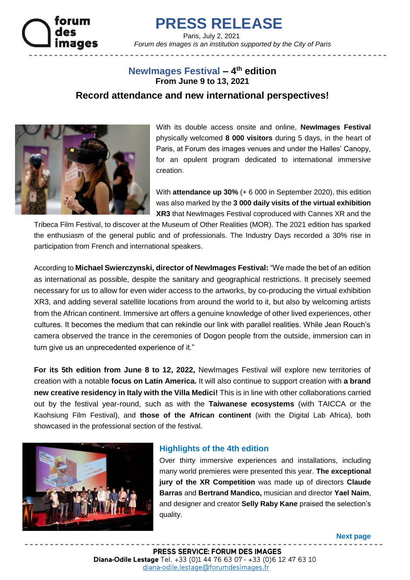

# **PRESS RELEASE**

 Paris, July 2, 2021  *Forum des images is an institution supported by the City of Paris*

## **NewImages Festival – 4 th edition From June 9 to 13, 2021**

### **Record attendance and new international perspectives!**



With its double access onsite and online, **NewImages Festival** physically welcomed **8 000 visitors** during 5 days, in the heart of Paris, at Forum des images venues and under the Halles' Canopy, for an opulent program dedicated to international immersive creation.

With **attendance up 30%** (+ 6 000 in September 2020), this edition was also marked by the **3 000 daily visits of the virtual exhibition XR3** that NewImages Festival coproduced with Cannes XR and the

Tribeca Film Festival, to discover at the Museum of Other Realities (MOR). The 2021 edition has sparked the enthusiasm of the general public and of professionals. The Industry Days recorded a 30% rise in participation from French and international speakers.

According to **Michael Swierczynski, director of NewImages Festival:** "We made the bet of an edition as international as possible, despite the sanitary and geographical restrictions. It precisely seemed necessary for us to allow for even wider access to the artworks, by co-producing the virtual exhibition XR3, and adding several satellite locations from around the world to it, but also by welcoming artists from the African continent. Immersive art offers a genuine knowledge of other lived experiences, other cultures. It becomes the medium that can rekindle our link with parallel realities. While Jean Rouch's camera observed the trance in the ceremonies of Dogon people from the outside, immersion can in turn give us an unprecedented experience of it."

**For its 5th edition from June 8 to 12, 2022,** NewImages Festival will explore new territories of creation with a notable **focus on Latin America.** It will also continue to support creation with **a brand new creative residency in Italy with the Villa Medici!** This is in line with other collaborations carried out by the festival year-round, such as with the **Taiwanese ecosystems** (with TAICCA or the Kaohsiung Film Festival), and **those of the African continent** (with the Digital Lab Africa), both showcased in the professional section of the festival.



#### **Highlights of the 4th edition**

Over thirty immersive experiences and installations, including many world premieres were presented this year. **The exceptional jury of the XR Competition** was made up of directors **Claude Barras** and **Bertrand Mandico,** musician and director **Yael Naim**, and designer and creator **Selly Raby Kane** praised the selection's quality.